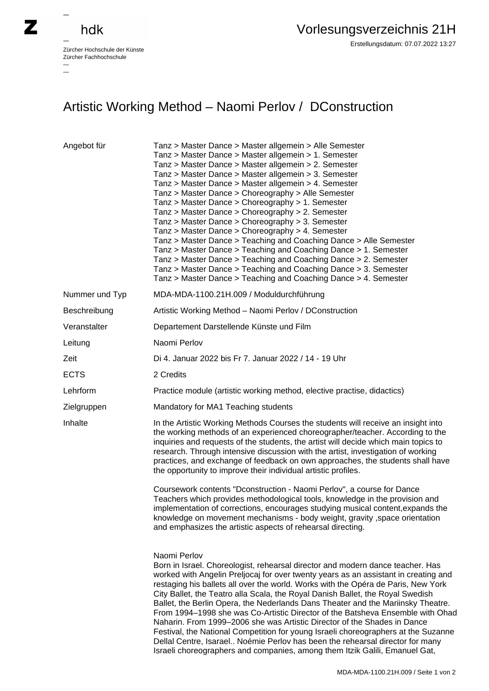## hdk

 $\overline{a}$ 

Zürcher Hochschule der Künste Zürcher Fachhochschule —

## Artistic Working Method – Naomi Perlov / DConstruction

| Angebot für    | Tanz > Master Dance > Master allgemein > Alle Semester<br>Tanz > Master Dance > Master allgemein > 1. Semester<br>Tanz > Master Dance > Master allgemein > 2. Semester<br>Tanz > Master Dance > Master allgemein > 3. Semester<br>Tanz > Master Dance > Master allgemein > 4. Semester<br>Tanz > Master Dance > Choreography > Alle Semester<br>Tanz > Master Dance > Choreography > 1. Semester<br>Tanz > Master Dance > Choreography > 2. Semester<br>Tanz > Master Dance > Choreography > 3. Semester<br>Tanz > Master Dance > Choreography > 4. Semester<br>Tanz > Master Dance > Teaching and Coaching Dance > Alle Semester<br>Tanz > Master Dance > Teaching and Coaching Dance > 1. Semester<br>Tanz > Master Dance > Teaching and Coaching Dance > 2. Semester<br>Tanz > Master Dance > Teaching and Coaching Dance > 3. Semester<br>Tanz > Master Dance > Teaching and Coaching Dance > 4. Semester |
|----------------|---------------------------------------------------------------------------------------------------------------------------------------------------------------------------------------------------------------------------------------------------------------------------------------------------------------------------------------------------------------------------------------------------------------------------------------------------------------------------------------------------------------------------------------------------------------------------------------------------------------------------------------------------------------------------------------------------------------------------------------------------------------------------------------------------------------------------------------------------------------------------------------------------------------|
| Nummer und Typ | MDA-MDA-1100.21H.009 / Moduldurchführung                                                                                                                                                                                                                                                                                                                                                                                                                                                                                                                                                                                                                                                                                                                                                                                                                                                                      |
| Beschreibung   | Artistic Working Method - Naomi Perlov / DConstruction                                                                                                                                                                                                                                                                                                                                                                                                                                                                                                                                                                                                                                                                                                                                                                                                                                                        |
| Veranstalter   | Departement Darstellende Künste und Film                                                                                                                                                                                                                                                                                                                                                                                                                                                                                                                                                                                                                                                                                                                                                                                                                                                                      |
| Leitung        | Naomi Perlov                                                                                                                                                                                                                                                                                                                                                                                                                                                                                                                                                                                                                                                                                                                                                                                                                                                                                                  |
| Zeit           | Di 4. Januar 2022 bis Fr 7. Januar 2022 / 14 - 19 Uhr                                                                                                                                                                                                                                                                                                                                                                                                                                                                                                                                                                                                                                                                                                                                                                                                                                                         |
| <b>ECTS</b>    | 2 Credits                                                                                                                                                                                                                                                                                                                                                                                                                                                                                                                                                                                                                                                                                                                                                                                                                                                                                                     |
| Lehrform       | Practice module (artistic working method, elective practise, didactics)                                                                                                                                                                                                                                                                                                                                                                                                                                                                                                                                                                                                                                                                                                                                                                                                                                       |
| Zielgruppen    | Mandatory for MA1 Teaching students                                                                                                                                                                                                                                                                                                                                                                                                                                                                                                                                                                                                                                                                                                                                                                                                                                                                           |
| Inhalte        | In the Artistic Working Methods Courses the students will receive an insight into<br>the working methods of an experienced choreographer/teacher. According to the<br>inquiries and requests of the students, the artist will decide which main topics to<br>research. Through intensive discussion with the artist, investigation of working<br>practices, and exchange of feedback on own approaches, the students shall have<br>the opportunity to improve their individual artistic profiles.                                                                                                                                                                                                                                                                                                                                                                                                             |
|                | Coursework contents "Dconstruction - Naomi Perlov", a course for Dance<br>Teachers which provides methodological tools, knowledge in the provision and<br>implementation of corrections, encourages studying musical content, expands the<br>knowledge on movement mechanisms - body weight, gravity, space orientation<br>and emphasizes the artistic aspects of rehearsal directing.                                                                                                                                                                                                                                                                                                                                                                                                                                                                                                                        |
|                | Naomi Perlov<br>Born in Israel. Choreologist, rehearsal director and modern dance teacher. Has<br>worked with Angelin Preljocaj for over twenty years as an assistant in creating and<br>restaging his ballets all over the world. Works with the Opéra de Paris, New York<br>City Ballet, the Teatro alla Scala, the Royal Danish Ballet, the Royal Swedish<br>Ballet, the Berlin Opera, the Nederlands Dans Theater and the Mariinsky Theatre.<br>From 1994–1998 she was Co-Artistic Director of the Batsheva Ensemble with Ohad<br>Naharin. From 1999–2006 she was Artistic Director of the Shades in Dance<br>Festival, the National Competition for young Israeli choreographers at the Suzanne<br>Dellal Centre, Isarael Noémie Perlov has been the rehearsal director for many<br>Israeli choreographers and companies, among them Itzik Galili, Emanuel Gat,                                          |